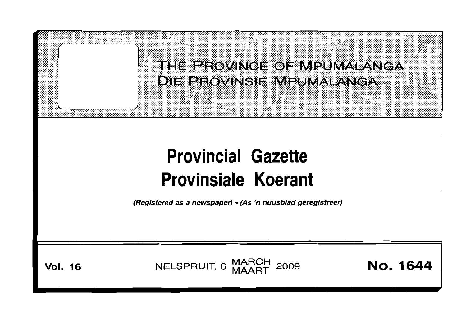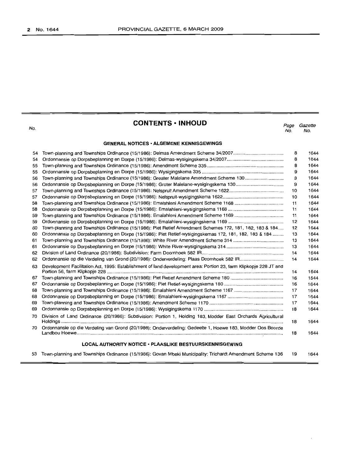No.

| <b>CONTENTS • INHOUD</b> |  |
|--------------------------|--|
|--------------------------|--|

*Page Gazette* No. No.

## **GENERAL NOTICES· ALGEMENE KENNISGEWINGS**

| 54<br>55 |                                                                                                                   | 8<br>8 | 1644<br>1644 |
|----------|-------------------------------------------------------------------------------------------------------------------|--------|--------------|
| 55       |                                                                                                                   | 9      | 1644         |
| 56       | Town-planning and Townships Ordinance (15/1986): Greater Malelane Amendment Scheme 130                            | 9      | 1644         |
| 56       |                                                                                                                   | 9      | 1644         |
| 57       |                                                                                                                   | 10     | 1644         |
| 57       |                                                                                                                   | 10     | 1644         |
| 58       |                                                                                                                   | 11     | 1644         |
| 58       |                                                                                                                   | 11     | 1644         |
| 59       |                                                                                                                   | 11     | 1644         |
| 59       |                                                                                                                   | 12     | 1644         |
| 60       | Town-planning and Townships Ordinance (15/1986): Piet Retief Amendment Schemes 172, 181, 182, 183 & 184           | 12     | 1644         |
| 60       | Ordonnansie op Dorpsbeplanning en Dorpe (15/1986): Piet Retief-wysigingskemas 172, 181, 182, 183 & 184            | 13     | 1644         |
| 61       |                                                                                                                   | 13     | 1644         |
| 61       |                                                                                                                   | 13     | 1644         |
| 62       |                                                                                                                   | 14     | 1644         |
| 62       |                                                                                                                   | 14     | 1644         |
| 63       | Development Facilitation Act, 1995: Establishment of land development area: Portion 23, farm Klipkopje 228 JT and |        |              |
|          |                                                                                                                   | 14     | 1644         |
| 67       |                                                                                                                   | 16     | 1644         |
| 67       |                                                                                                                   | 16     | 1644         |
| 68       |                                                                                                                   | 17     | 1644         |
| 68       |                                                                                                                   | 17     | 1644         |
| 69       |                                                                                                                   | 17     | 1644         |
| 69       |                                                                                                                   | 18     | 1644         |
| 70       | Division of Land Ordinance (20/1986): Subdivision: Portion 1, Holding 183, Modder East Orchards Agricultural      | 18     | 1644         |
| 70       | Ordonnansie op die Verdeling van Grond (20/1986): Onderverdeling: Gedeelte 1, Hoewe 183, Modder Oos Boorde        | 18     | 1644         |
|          | LOCAL AUTHORITY NOTICE · PLAASLIKE BESTUURSKENNISGEWING                                                           |        |              |
|          | 53 Town-planning and Townships Ordinance (15/1986): Govan Mbeki Municipality: Trichardt Amendment Scheme 136      | 19     | 1644         |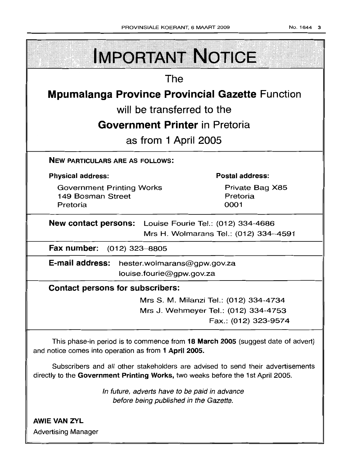| <b>IMPORTANT NOTICE</b>                                                                                                                                            |                                     |  |  |  |
|--------------------------------------------------------------------------------------------------------------------------------------------------------------------|-------------------------------------|--|--|--|
| The                                                                                                                                                                |                                     |  |  |  |
| <b>Mpumalanga Province Provincial Gazette Function</b>                                                                                                             |                                     |  |  |  |
| will be transferred to the                                                                                                                                         |                                     |  |  |  |
| <b>Government Printer</b> in Pretoria                                                                                                                              |                                     |  |  |  |
| as from 1 April 2005                                                                                                                                               |                                     |  |  |  |
| <b>NEW PARTICULARS ARE AS FOLLOWS:</b>                                                                                                                             |                                     |  |  |  |
| <b>Physical address:</b>                                                                                                                                           | <b>Postal address:</b>              |  |  |  |
| <b>Government Printing Works</b><br>149 Bosman Street<br>Pretoria                                                                                                  | Private Bag X85<br>Pretoria<br>0001 |  |  |  |
| <b>New contact persons:</b> Louise Fourie Tel.: (012) 334-4686<br>Mrs H. Wolmarans Tel.: (012) 334-4591                                                            |                                     |  |  |  |
| Fax number:<br>$(012)$ 323 $-8805$                                                                                                                                 |                                     |  |  |  |
| <b>E-mail address:</b><br>hester.wolmarans@gpw.gov.za<br>louise.fourie@gpw.gov.za                                                                                  |                                     |  |  |  |
| <b>Contact persons for subscribers:</b>                                                                                                                            |                                     |  |  |  |
| Mrs S. M. Milanzi Tel.: (012) 334-4734<br>Mrs J. Wehmeyer Tel.: (012) 334-4753<br>Fax.: (012) 323-9574                                                             |                                     |  |  |  |
| This phase-in period is to commence from 18 March 2005 (suggest date of advert)<br>and notice comes into operation as from 1 April 2005.                           |                                     |  |  |  |
| Subscribers and all other stakeholders are advised to send their advertisements<br>directly to the Government Printing Works, two weeks before the 1st April 2005. |                                     |  |  |  |
| In future, adverts have to be paid in advance<br>before being published in the Gazette.                                                                            |                                     |  |  |  |
| <b>AWIE VAN ZYL</b>                                                                                                                                                |                                     |  |  |  |
| <b>Advertising Manager</b>                                                                                                                                         |                                     |  |  |  |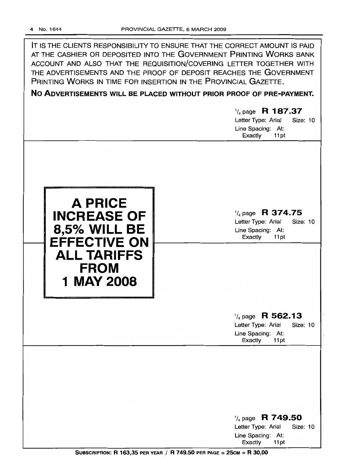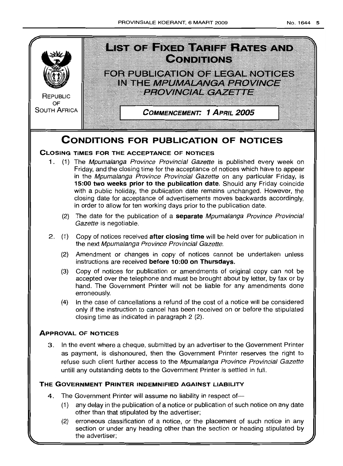

- (1) any delay in the publication of a notice or publication of such notice on any date other than that stipulated by the advertiser;
- (2) erroneous classification of a notice, or the placement of such notice in any section or under any heading other than the section or heading stipulated by the advertiser;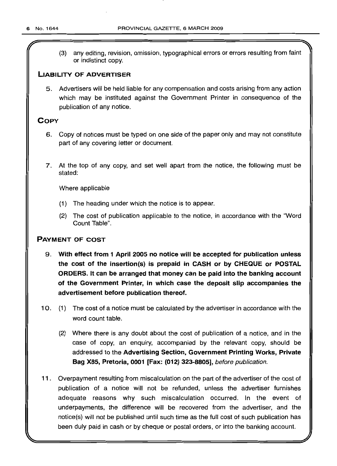(3) any editing, revision, omission, typographical errors or errors resulting from faint or indistinct copy.

## LIABILITY OF ADVERTISER

5. Advertisers will be held liable for any compensation and costs arising from any action which may be instituted against the Government Printer in consequence of the publication of any notice.

## **COPY**

- 6. Copy of notices must be typed on one side of the paper only and may not constitute part of any covering letter or document.
- 7. At the top of any copy, and set well apart from the notice, the following must be stated:

Where applicable

- (1) The heading under which the notice is to appear.
- (2) The cost of publication applicable to the notice, in accordance with the "Word Count Table".

## PAYMENT OF COST

- 9. With effect from 1 April 2005 no notice will be accepted for publication unless the cost of the insertion(s) is prepaid in CASH or by CHEQUE or POSTAL ORDERS. It can be arranged that money can be paid into the banking account of the Government Printer, in which case the deposit slip accompanies the advertisement before publication thereof.
- 10. (1) The cost of a notice must be calculated by the advertiser in accordance with the word count table.
	- (2) Where there is any doubt about the cost of publication of a notice, and in the case of copy, an enquiry, accompanied by the relevant copy, should be addressed to the Advertising Section, Government Printing Works, Private Bag X85, Pretoria, 0001 [Fax: (012) 323-8805], before publication.
- 11. Overpayment resulting from miscalculation on the part of the advertiser of the cost of publication of a notice will not be refunded, unless the advertiser furnishes adequate reasons why such miscalculation occurred. In the event of underpayments, the difference will be recovered from the advertiser, and the notice(s) will not be published until such time as the full cost of such publication has been duly paid in cash or by cheque or postal orders, or into the banking account.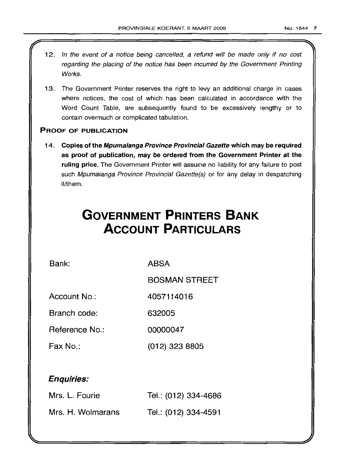- 12. In the event of a notice being cancelled, a refund will be made only if no cost regarding the placing of the notice has been incurred by the Government Printing Works.
- 13. The Government Printer reserves the right to levy an additional charge in cases where notices, the cost of which has been calculated in accordance with the Word Count Table, are subsequently found to be excessively lengthy or to contain overmuch or complicated tabulation.

## PROOF OF PUBLICATION

14. Copies of the Mpumalanga Province Provincial Gazette which may be required as proof of publication, may be ordered from the Government Printer at the ruling price. The Government Printer will assume no liability for any failure to post such Mpumalanga Province Provincial Gazette(s) or for any delay in despatching it/them.

# **GOVERNMENT PRINTERS BANK ACCOUNT PARTICULARS**

Bank: ABSA

BOSMAN STREET

Account No.: 4057114016

Branch code: 632005

Reference No.: 00000047

Fax No.: (012) 323 8805

## Enquiries:

| Mrs. L. Fourie    | Tel.: (012) 334-4686 |
|-------------------|----------------------|
| Mrs. H. Wolmarans | Tel.: (012) 334-4591 |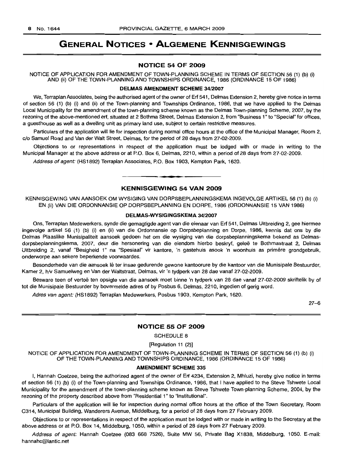## **GENERAL NOTICES • ALGEMENE KENNISGEWINGS**

## **NOTICE 54 OF 2009**

NOTICE OF APPLICATION FOR AMENDMENT OF TOWN-PLANNING SCHEME IN TERMS OF SECTION 56 (1) (b) (i) AND (ii) OF THE TOWN-PLANNING AND TOWNSHIPS ORDINANCE, 1986 (ORDINANCE 15 OF 1986)

## **DELMAS AMENDMENT SCHEME** 34/2007

We, Terraplan Associates, being the authorised agent of the owner of Ert 541, Delmas Extension 2, hereby give notice in terms of section 56 (1) (b) (i) and (ii) of the Town-planning and Townships Ordinance, 1986, that we have applied to the Delmas Local Municipality for the amendment of the town-planning scheme known as the Delmas Town-planning Scheme, 2007, by the rezoning of the above-mentioned ert, situated at 2 Bothma Street, Delmas Extension 2, from "Business 1" to "Special" for offices, a guesthouse as well as a dwelling unit as primary land use, subject to certain restrictive measures.

Particulars of the application will lie for inspection during normal office hours at the office of the Municipal Manager, Room 2, c/o Samuel Road and Van der Walt Street, Delmas, for the period of 28 days from 27-02-2009.

Objections to or representations in respect of the application must be lodged with or made in writing to the Municipal Manager at the above address or at P.O. Box 6, Delmas, 2210, within a period of 28 days from 27-02-2009.

Address of agent: (HS1892) Terraplan Associates, P.O. Box 1903, Kempton Park, 1620.

## **• KENNISGEWING 54 VAN 2009**

KENNISGEWING VAN AANSOEK OM WYSIGING VAN DORPSBEPLANNINGSKEMA INGEVOLGE ARTIKEL 56 (1) (b) (i) EN (ii) VAN DIE ORDONNANSIE OP DORPSBEPLANNING EN DORPE, 1986 (ORDONNANSIE 15 VAN 1986)

#### **DELMAS·WYSIGINGSKEMA** 34/2007

Ons, Terraplan Medewerkers, synde die gemagtigde agent van die eienaar van Ert 541, Delmas Uitbreiding 2, gee hiermee ingevolge artikel 56 (1) (b) (i) en (ii) van die Ordonnansie op Dorpsbeplanning en Dorpe, 1986, kennis dat ons by die Delmas Plaaslike Munisipaliteit aansoek gedoen het om die wysiging van die dorpsbeplanningskema bekend as Delmasdorpsbeplanningskema, 2007, deur die hersonering van die eiendom hierbo beskryf, gelee te Bothmastraat 2, Delmas Uitbreiding 2, vanaf "Besigheid 1" na "Spesiaal" vir kantore, 'n gastehuis asook 'n woonhuis as primêre grondgebruik, onderworpe aan sekere beperkende voorwaardes.

Besonderhede van die aansoek lê ter insae gedurende gewone kantoorure by die kantoor van die Munisipale Bestuurder, Kamer 2, h/v Samuelweg en Van der Waltstraat, Delmas, vir 'n tydperk van 28 dae vanaf 27-02-2009.

Besware teen of vertoe ten opsigte van die aansoek moet binne 'n tydperk van 28 dae vanaf 27-02-2009 skriftelik by of tot die Munisipale Bestuurder by bovermelde adres of by Posbus 6, Delmas, 2210, ingedien of gerig word.

Adres van agent: (HS1892) Terraplan Medewerkers, Posbus 1903, Kempton Park, 1620.

27-6

#### **NOTICE 55 OF 2009**

SCHEDULE 8

[Regulation 11 (2)]

NOTICE OF APPLICATION FOR AMENDMENT OF TOWN-PLANNING SCHEME IN TERMS OF SECTION 56 (1) (b) (i) OF THE TOWN-PLANNING AND TOWNSHIPS ORDINANCE, 1986 (ORDINANCE 15 OF 1986)

#### **AMENDMENT SCHEME** 335

I, Hannah Coetzee, being the authorized agent of the owner of Ert 4234, Extension 2, Mhluzi, hereby give notice in terms of section 56 (1) (b) (i) of the Town-planning and Townships Ordinance, 1986, that I have applied to the Steve Tshwete Local Municipality for the amendment of the town-planning scheme known as Steve Tshwete Town-planning Scheme, 2004, by the rezoning of the property described above from "Residential 1" to "Institutional".

Particulars of the application will lie for inspection during normal office hours at the office of the Town Secretary, Room C314, Municipal Building, Wanderers Avenue, Middelburg, for a period of 28 days from 27 February 2009.

Objections to or representations in respect of the application must be lodged with or made in writing to the Secretary at the above address or at P.O. Box 14, Middelburg, 1050, within a period of 28 days from 27 February 2009.

Address of agent: Hannah Coetzee (083 668 7526), Suite MW 56, Private Bag X1838, Middelburg, 1050. E-mail: hannahc@lantic.net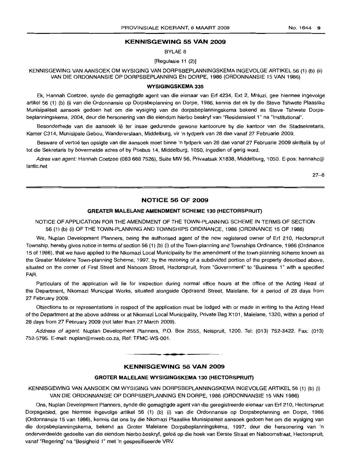## **KENNISGEWING 55 VAN 2009**

BYLAE 8

[Regulasie 11 (2)]

KENNISGEWING VAN AANSOEK OM WYSIGING VAN DORPSBEPLANNINGSKEMA INGEVOLGE ARTIKEL 56 (1) (b) (ii) VAN DIE ORDONNANSIE OP DORPSBEPLANNING EN DORPE, 1986 (ORDONNANSIE 15 VAN 1986)

#### **WYSIGINGSKEMA 335**

Ek, Hannah Coetzee, synde die gemagtigde agent van die eienaar van Erf 4234, Ext 2, Mhluzi, gee hiermee ingevolge artikel 56 (1) (b) (i) van die Ordonnansie op Dorpsbeplanning en Dorpe, 1986, kennis dat ek by die Steve Tshwete Plaaslike Munisipaliteit aansoek gedoen het om die wysiging van die dorpsbeplanningskema bekend as Steve Tshwete Dorpsbeplanningskema, 2004, deur die hersonering van die eiendom hierbo beskryf van "Residensieel 1" na "Institutional".

Besonderhede van die aansoek lê ter insae gedurende gewone kantoorure by die kantoor van die Stadsekretaris, Kamer C314, Munisipale Gebou, Wandererslaan, Middelburg, vir'n tydperk van 28 dae vanaf 27 Februarie 2009.

Besware of vertoë ten opsigte van die aansoek moet binne 'n tydperk van 28 dae vanaf 27 Februarie 2009 skriftelik by of tot die Sekretaris by bovermelde adres of by Posbus 14, Middelburg, 1050, ingedien of gerig word.

Adres van agent: Hannah Coetzee (083 668 7526), Suite MW 56, Privaatsak X1838, Middelburg, 1050. E-pos: hannahc@ lantic.net

27-6

## **NOTICE 56 OF 2009**

#### **GREATER MALELANE AMENDMENT SCHEME 130 (HECTORSPRUIT)**

NOTICE OF APPLICATION FOR THE AMENDMENT OF THE TOWN-PLANNING SCHEME IN TERMS OF SECTION 56 (1) (b) (i) OF THE TOWN-PLANNING AND TOWNSHIPS ORDINANCE, 1986 (ORDINANCE 15 OF 1986)

We, Nuplan Development Planners, being the authorised agent of the new registered owner of Erf 210, Hectorspruit Township, hereby gives notice in terms of section 56 (1) (b) (i) of the Town-planning and Townships Ordinance, 1986 (Ordinance 15 of 1986), that we have applied to the Nkomazi Local Municipality for the amendment of the town-planning scheme known as the Greater Malelane Town-planning Scheme, 1997, by the rezoning of a subdivided portion of the property described above, situated on the corner of First Street and Naboom Street, Hactorspruit, from "Government" to "Business 1" with a specified FAR.

Particulars of the application will lie for inspection during normal office hours at the office of the Acting Head of the Department, Nkomazi Municipal Works, situated alongside Opdraend Street, Malelane, for a period of 28 days from 27 February 2009.

Objections to or representations in respect of the application must be lodged with or made in writing to the Acting Head of the Department at the above address or at Nkomazi Local Municipality, Private Bag X101, Malelane, 1320, within a period of 28 days from 27 February 2009 (not later than 27 March 2009).

Address of agent: Nuplan Development Planners, P.O. Box 2555, Nelspruit, 1200. Tel: (013) 752-3422. Fax: (013) 752-5795. E-mail: nuplan@mweb.co.za. Ref: TFMC-WS-001 .

## **KENNISGEWING 56 VAN 2009**

.**- .**

#### **GROTER MALELANE WYSIGINGSKEMA 130 (HECTORSPRUIT)**

KENNISGEWING VAN AANSOEK OM WYSIGING VAN DORPSBEPLANNINGSKEMA INGEVOLGE ARTIKEL 56 (1) (b) (i) VAN DIE ORDONNANSIE OP DORPSBEPLANNING EN DORPE, 1986 (ORDONNANSIE 15 VAN 1986)

Ons, Nuplan Development Planners, synde die gemagtigde agent van die geregistreerde eienaar van Erf 210, Hectorspruit Dorpsgebied, gee hiermee ingevolge artikel 56 (1) (b) (i) van die Ordonnansie op Dorpsbeplanning en Dorpe, 1986 (Ordonnansie 15 van 1986), kennis dat ons by die Nkomazi Plaaslike Munisipaliteit aansoek gedoen het om die wysiging van die dorpsbeplanningskema, bekend as Groter Malelane Dorpsbeplanningskema, 1997, deur die hersonering van 'n onderverdeelde gedeelte van die eiendom hierbo beskryf, geleë op die hoek van Eerste Straat en Naboomstraat, Hectorspruit, vanaf "Regering" na "Besigheid 1" met 'n gespesifiseerde VRV.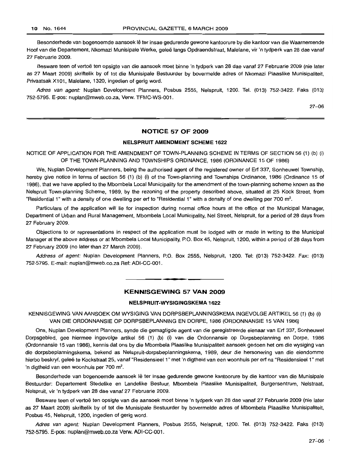Besonderhede van bogenoemde aansoek Ie ter insae gedurende gewone kantoorure by die kantoor van die Waarnemende Hoof van die Departement, Nkomazi Munisipale Werke, gelee langs Opdraendstraat, Malelane, vir 'n tydperk van 28 dae vanaf 27 Februarie 2009.

Besware teen of vertoë ten opsigte van die aansoek moet binne 'n tydperk van 28 dae vanaf 27 Februarie 2009 (nie later as 27 Maart 2009) skriftelik by of tot die Munisipale Bestuurder by bovermelde adres of Nkomazi Plaaslike Munisipaliteit, Privaatsak X101, Malelane, 1320, ingedien of gerig word.

Adres van agent: Nuplan Development Planners, Posbus 2555, Nelspruit, 1200. Tel. (013) 752-3422. Faks (013) 752-5795. E-pos: nuplan@mweb.co.za, Verw. TFMC-WS-001.

27-06

## **NOTICE 57 OF 2009**

### **NELSPRUIT AMENDMENT SCHEME 1622**

NOTICE OF APPLICATION FOR THE AMENDMENT OF TOWN-PLANNING SCHEME IN TERMS OF SECTION 56 (1) (b) (i) OF THE TOWN-PLANNING AND TOWNSHIPS ORDINANCE, 1986 (ORDINANCE 15 OF 1986)

We, Nuplan Development Planners, being the authorised agent of the registered owner of Ert 337, Sonheuwel Township, hereby give notice in terms of section 56 (1) (b) (i) of the Town-planning and Townships Ordinance, 1986 (Ordinance 15 of 1986), that we have applied to the Mbombela Local Municipality for the amendment of the town-planning scheme known as the Nelspruit Town-planning Scheme, 1989, by the rezoning of the property described above, situated at 25 Kock Street, from "Residential 1" with a density of one dwelling per erf to "Residential 1" with a density of one dwelling per 700 m<sup>2</sup>.

Particulars of the application will lie for inspection during normal office hours at the office of the Municipal Manager, Department of Urban and Rural Management, Mbombela Local Municipality, Nel Street, Nelspruit, for a period of 28 days from 27 February 2009.

Objections to or representations in respect of the application must be lodged with or made in writing to the Municipal Manager at the above address or at Mbombela Local Municipality, P.O. Box 45, Nelspruit, 1200, within a period of 28 days from 27 February 2009 (no later than 27 March 2009).

Address of agent: Nuplan Development Planners, P.O. Box 2555, Nelspruit, 1200. Tel: (013) 752-3422. Fax: (013) 752-5795. E-mail: nuplan@mweb.co.za Ref: ADI-CC-001 .

.**-.**

## **KENNISGEWING 57 VAN 2009**

#### **NELSPRUIT-WYSIGINGSKEMA 1622**

KENNISGEWING VAN AANSOEK OM WYSIGING VAN DORPSBEPLANNINGSKEMA INGEVOLGE ARTIKEL 56 (1) (b) (i) VAN DIE ORDONNANSIE OP DORPSBEPLANNING EN DORPE, 1986 (ORDONNANSIE 15 VAN 1986)

Ons, Nuplan Development Planners, synde die gemagtigde agent van die geregistreerde eienaar van Ert 337, Sonheuwel Dorpsqebled, gee hiermee ingevolge artikel 56 (1) (b) (i) van die Ordonnansie op Dorpsbeplanning en Dorpe, 1986 (Ordonnansie 15 van 1986), kennis dat ons by die Mbombela Plaaslike Munisipaliteit aansoek gedoen het om die wysiging van die dorpsbeplanningskema. bekend as Nelspruit-dorpsbeplanningskema, 1989, deur die hersonering van die eiendomme hierbo beskryf, geleë te Kockstraat 25, vanaf "Residensieel 1" met 'n digtheid van een woonhuis per erf na "Residensieel 1" met 'n digtheid van een woonhuis per 700 m<sup>2</sup>.

Besonderhede van bogenoemde aansoek lê ter insae gedurende gewone kantoorure by die kantoor van die Munisipale Bestuurder: Departement Stedelike en Landelike Bestuur, Mbombela Plaaslike Munisipaliteit, Burgersentrum, Nelstraat, Nelspruit, vir 'n tydperk van 28 dae vanaf 27 Februarie 2009.

Besware teen of vertoë ten opsigte van die aansoek moet binne 'n tydperk van 28 dae vanaf 27 Februarie 2009 (nie later as 27 Maart 2009) skriftelik by of tot die Munisipale Bestuurder by bovermelde adres of Mbombela Plaaslike Munisipaliteit, Posbus 45, Nelspruit, 1200, ingedien of gerig word.

Adres van agent: Nuplan Development Planners, Posbus 2555, Nelspruit, 1200. Tel. (013) 752-3422. Faks (013) 752·5795. E-pos: nuplan@mweb.co.za Verw. ADI-CC-001.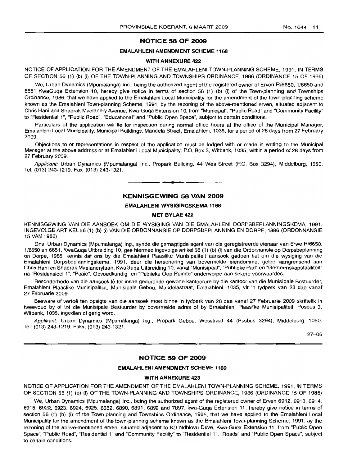## **NOTICE 58 OF 2009**

#### **EMALAHLENI AMENDMENT SCHEME 1168**

#### **WITH ANNEXURE 422**

NOTICE OF APPLICATION FOR THE AMENDMENT OF THE EMALAHLENI TOWN-PLANNING SCHEME, 1991, IN TERMS OF SECTION 56 (1) (b) (i) OF THE TOWN-PLANNING AND TOWNSHIPS ORDINANCE, 1986 (ORDINANCE 15 OF 1986)

We, Urban Dynamics (Mpumalanga) Inc., being the authorized agent of the registered owner of Erven R/6650, 1/6650 and 6651 KwaGuqa Extension 10, hereby give notice in terms of section 56 (1) (b) (i) of the Town-planning and Townships Ordinance, 1986, that we have applied to the Emalahleni Local Municipality for the amendment of the town-planning scheme known as the Emalahleni Town-planning Scheme, 1991, by the rezoning of the above-mentioned erven, situated adjacent to Chris Hani and Shadrak Maelanery Avenue, Kwa-Guqa Extension 10, from "Municipal", "Public Road" and "Community Facility" to "Residential 1", "Public Road", "Educational" and "Public Open Space", subject to certain conditions.

Particulars of the application will lie for inspection during normal office hours at the office of the Municipal Manager, Emalahleni Local Municipality, Municipal Buildings, Mandela Street, Emalahleni, 1035, for a period of 28 days from 27 February 2009.

Objections to or representations in respect of the application must be lodged with or made in writing to the Municipal Manager at the above address or at Emalahleni Local Municipality, P.O. Box 3, Witbank, 1035, within a period of 28 days from 27 February 2009.

Applicant: Urban Dynamics (Mpumalanga) Inc., Propark Building, 44 Wes Street (P.O. Box 3294), Middelburg, 1050. Tel: (013) 243-1219. Fax: (013) 243-1321. .**- .**

## **KENNISGEWING 58 VAN 2009**

#### **EMALAHLENI WYSIGINGSKEMA 1168**

#### **MET BYLAE 422**

KENNISGEWING VAN DIE AANSOEK OM DIE WYSIGING VAN DIE EMALAHLENI DORPSBEPLANNINGSKEMA, 1991, INGEVOLGE ARTIKEL 56 (1) (b) (i) VAN DIE ORDONNANSIE OP DORPSBEPLANNING EN DORPE, 1986 (ORDONNANSIE 15 VAN 1986)

Ons, Urban Dynamics (Mpumalanga) Ing., synde die gemagtigde agent van die geregistreerde eienaar van Erwe R/6650, 1/6650 en 6651, KwaGuga Uitbreiding 10, gee hiermee ingevolge artikel 56 (1) (b) (i) van die Ordonnansie op Dorpsbeplanning en Dorpe, 1986, kennis dat ons by die Emalahleni Plaaslike Munisipaliteit aansoek gedoen het om die wysiging van die Emalahleni Dorpsbeplanninqskema, 1991, deur die hersonering van bovermelde eiendomme, gelee aangrensend aan Chris Hani en Shadrak Maelanerylaan, KwaGuqa Uitbreiding 10, vanaf "Munisipaal", "Publieke Pad" en "Gemeenskapsfasiliteit" na "Residensieel 1", "Paaie", Opvoedkundig" en "Publieke Oop Ruimte" onderworpe aan sekere voorwaardes.

Besonderhede van die aansoek lê ter insae gedurende gewone kantoorure by die kantoor van die Munisipale Bestuurder, Emalahleni Plaaslike Munisipaliteit, Munisipale Gebou, Mandelastraat, Emalahleni, 1035, vir 'n tydperk van 28 dae vanaf 27 Februarie 2009.

Besware of vertoë ten opsigte van die aansoek moet binne 'n tydperk van 28 dae vanaf 27 Februarie 2009 skriftelik in tweevoud by of tot die Munisipale Bestuurder by bovermelde adres of by Emalahleni Plaaslike Munisipaliteit, Posbus 3, Witbank, 1035, ingedien of gerig word.

Applikant: Urban Dynamics (Mpumalanga) Ing., Propark Gebou, Wesstraat 44 (Posbus 3294), Middelburg, 1050. Tel: (013) 243-1219. Faks: (013) 243-1321.

27-06

### **NOTICE 59 OF 2009**

#### **EMALAHLENI AMENDMENT SCHEME 1169**

## **WITH ANNEXURE 423**

NOTICE OF APPLICATION FOR THE AMENDMENT OF THE EMALAHLENI TOWN-PLANNING SCHEME, 1991, IN TERMS OF SECTION 56 (1) (b) (i) OF THE TOWN-PLANNING AND TOWNSHIPS ORDINANCE, 1986 (ORDINANCE 15 OF 1986)

We, Urban Dynamics (Mpumalanga) Inc., being the authorized agent of the registered owner of Erven 6912, 6913, 6914, 6915, 6922, 6923, 6924, 6925, 6682, 6890, 6891, 6892 and 7897, kwa-Guqa Extension 11, hereby give notice in terms of section 56 (1) (b) (i) of the Town-planning and Townships Ordinance, 1986, that we have applied to the Emalahleni Local Municipality for the amendment of the town-planning scheme known as the Emalahleni Town-planning Scheme, 1991, by the rezoning of the above-mentioned erven, situated adjacent to KD Ndhlovu Drive, Kwa-Guqa Extension 11, from "Public Open Space", "Public Road", "Residential 1" and "Community Facility" to "Residential 1", "Roads" and "Public Open Space", subject to certain conditions.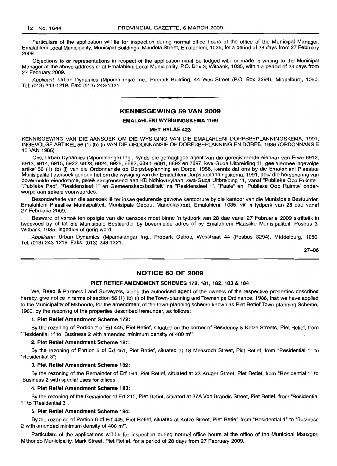Particulars of the application will lie for inspection during normal office hours at the office of the Municipal Manager, Emalahleni Local Municipality, Municipal Buildings, Mandela Street, Emalahleni, 1035, for a period of 28 days from 27 February 2009.

Objections to or representations in respect of the application must be lodged with or made in writing to the Municipal Manager at the above address or at Emalahleni Local Municipality, P.O. Box 3, Witbank, 1035, within a period of 28 days from 27 February 2009.

Applicant: Urban Dynamics (Mpumalanga) Inc., Propark Building, 44 Wes Street (P.O. Box 3294), Middelburg, 1050. Tel: (013) 243-1219. Fax: (013) 243-1321.

#### KENNISGEWING 59 VAN 2009

**• •**

#### EMALAHLENI WYSIGINGSKEMA 1169

#### MET BYLAE 423

KENNISGEWING VAN DIE AANSOEK OM DIE WYSIGING VAN DIE EMALAHLENI DORPSBEPLANNINGSKEMA, 1991, INGEVOLGE ARTIKEL 56 (1) (b) (i) VAN DIE ORDONNANSIE OP DORPSBEPLANNING EN DORPE, 1986 (ORDONNANSIE 15 VAN 1986)

Ons, Urban Dynamics (Mpumalanga) Ing., synde die gemagtigde agent van die geregistreerde eienaar van Erwe 6912, 6913, 6914, 6915, 6922, 6923, 6924, 6925, 6682, 6890, 6891, 6892 en 7897, kwa-Guqa Uitbreiding 11, gee hiermee ingevolge artikel 56 (1) (b) (i) van die Ordonnansie op Dorpsbeplanning en Dorpe, 1986, kennis dat ons by die Emalahleni Plaaslike Munisipaliteit aansoek gedoen het om die wysiging van die Emalahleni Dorpsbeplanningskema, 1991, deur die hersonering van bovermelde eiendomme, gelee aangrensend aan KD Ndhlovurylaan, kwa-Guqa Uitbreiding 11, vanaf "Publieke Oop Ruimte", "Publieke Pad", "Residensieel 1" en Gemeenskapsfasiliteit" na "Residensieel 1", "Paaie" en "Publieke Oop Ruimte" onderworpe aan sekere voorwaardes.

Besonderhede van die aansoek lê ter insae gedurende gewone kantoorure by die kantoor van die Munisipale Bestuurder, Emalahleni Plaaslike Munisipaliteit, Munisipale Gebou, Mandelastraat, Emalahleni, 1035, vir 'n tydperk van 28 dae vanaf 27 Februarie 2009.

Besware of vertoë ten opsigte van die aansoek moet binne 'n tydperk van 28 dae vanaf 27 Februarie 2009 skriftelik in tweevoud by of tot die Munisipale Bestuurder by bovermelde adres of by Emalahleni Plaaslike Munisipaliteit, Posbus 3, Witbank, 1035, ingedien of gerig word.

Applikant: Urban Dynamics (Mpumalanga) Ing., Propark Gebou, Wesstraat 44 (Posbus 3294), Middelburg, 1050. Tel: (013) 243-1219. Faks: (013) 243-1321.

27-06

#### NOTICE 60 OF 2009

#### PIET RETIEF AMENDMENT SCHEMES 172, 181, 182, 183 & 184

We, Reed & Partners Land Surveyors, being the authorised agent of the owners of the respective properties described hereby, give notice in terms of section 56 (1) (b) (i) of the Town-planning and Townships Ordinance, 1986, that we have applied to the Municipality of Mkhondo, for the amendment of the town-planning scheme known as Piet Retief Town-planning Scheme, 1980, by the rezoning of the properties described hereunder, as follows:

#### 1. Piet Retief Amendment Scheme 172:

By the rezoning of Portion 7 of Erf 445, Piet Retief, situated on the corner of Residency & Kotze Streets, Piet Retief, from "Residential 1" to "Business 2 with amended minimum density of 400 m":

#### 2. Piet Retief Amendment Scheme 181:

By the rezoning of Portion 5 of Erf 451, Piet Retief, situated at 18 Measroch Street, Piet Retief, from "Residential 1" to "Residential 3";

#### 3. Piet Retief Amendment Scheme 182:

By the rezoning of the Remainder of Erf 164, Piet Retief, situated at 23 Kruger Street, Piet Retief, from "Residential 1" to "Business 2 with special uses for offices";

#### 4. Piet Retief Amendment Scheme 183:

By the rezoning of the Remainder of Erf 215, Piet Retief, situated at 37A Von Brandis Street, Piet Retief, from "Residential 1" to "Residential 3";

#### 5. Piet Retief Amendment Scheme 184:

By the rezoning of Portion 8 of Erf 445, Piet Retief, situated at Kotze Street, Piet Retief, from "Residential 1" to "Business 2 with amended minimum density of 400 m<sup>2</sup>".

Particulars of the applications will lie for inspection during normal office hours at the office of the Municipal Manager, Mkhondo Municipality, Mark Street, Piet Retief, for a period of 28 days from 27 February 2009.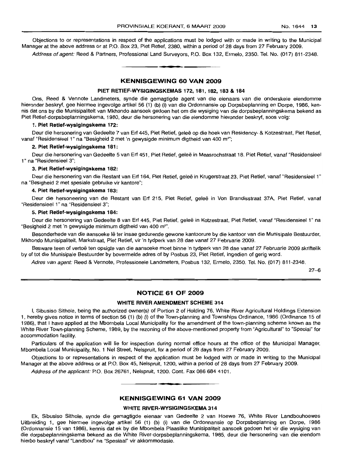Objections to or representations in respect of the applications must be lodged with or made in writing to the Municipal Manager at the above address or at P.O. Box 23, Piet Retief, 2380, within a period of 28 days from 27 February 2009.

Address of agent: Reed & Partners, Professional Land Surveyors, P.O. Box 132, Ermelo, 2350. Tel. No. (017) 811-2348. .**-.**

#### KENNISGEWING 60 VAN 2009

#### PIET RETIEF·WYSIGINGSKEMAS 172, 181, 182, 183 & 184

Ons, Reed & Vennote Landmeters, synde die gemagtigde agent van die eienaars van die onderskeie eiendomme hieronder beskryf, gee hiermee ingevolge artikel 56 (1) (b) (i) van die Ordonnansie op Dorpsbeplanning en Dorpe, 1986, kennis dat ons by die Munisipaliteit van Mkhondo aansoek gedoen het om die wysiging van die dorpsbeplanningskema bekend as Piet Retief-dorpsbeplanningskema, 1980, deur die hersonering van die eiendomme hieronder beskryf, soos volg:

#### 1. Piet Retief-wysigingskema 172:

Deur die hersonering van Gedeelte 7 van Erf 445, Piet Retief, geleë op die hoek van Residency- & Kotzestraat, Piet Retief, vanaf "Residensieel 1" na "Besigheid 2 met 'n gewysigde minimum digtheid van 400 m":

#### 2. Piet Retief-wysigingskema 181:

Deur die hersonering van Gedeelte 5 van Erf 451, Piet Retief, gelee in Measrochstraat 18, Piet Retief, vanaf "Residensieel 1" na "Residensieel 3";

#### 3. Piet Retief-wysigingskema 182:

Deur die hersonering van die Restant van Erf 164, Piet Retief, geleë in Krugerstraat 23, Piet Retief, vanaf "Residensieel 1" na "Besigheid 2 met spesiale gebruike vir kantore";

#### 4. Piet Retief-wysigingskema 183:

Deur die hersoneering van die Restant van Erf 215, Piet Retief, gelee in Von Brandisstraat 37A, Piet Retief, vanaf "Residensieel 1" na "Residensieel 3";

#### 5. Piet Retief-wysigingskema 184:

Deur die hersonering van Gedeelte 8 van Erf 445, Piet Retief, gelee in Kotzestraat, Piet Retief, vanaf "Residensieel 1" na "Besigheid 2 met 'n gewysigde minimum digtheid van 400 m<sup>2</sup>".

Besonderhede van die aansoeke lê ter insae gedurende gewone kantoorure by die kantoor van die Munisipale Bestuurder, Mkhondo Munisipaliteit, Markstraat, Piet Retief, vir 'n tydperk van 28 dae vanaf 27 Februarie 2009.

Besware teen of vertoë ten opsigte van die aansoeke moet binne 'n tydperk van 28 dae vanaf 27 Februarie 2009 skriftelik by of tot die Munisipale Bestuurder by bovermelde adres of by Posbus 23, Piet Retief, ingedien of gerig word.

Adres van agent: Reed & Vennote, Professionele Landmeters, Posbus 132, Ermelo, 2350. Tel. No. (017) 811-2348.

27-6

#### NOTICE 61 OF 2009

## WHITE RIVER AMENDMENT SCHEME 314

I, Sibusiso Sithole, being the authorized owner(s) of Portion 2 of Holding 76, White River Agricultural Holdings Extension 1, hereby gives notice in terms of section 56 (1) (b) (i) of the Town-planning and Townships Ordinance, 1986 (Ordinance 15 of 1986), that I have applied at the Mbombela Local Municipality for the amendment of the town-planning scheme known as the White River Town-planning Scheme, 1989, by the rezoning of the above-mentioned property from "Agricultural" to "Special" for accommodation facility.

Particulars of the application will lie for inspection during normal office hours at the office of the Municipal Manager, Mbombela Local Municipality, No.1 Nel Street, Nelspruit, for a period of 28 days from 27 February 2009.

Objections to or representations in respect of the application must be lodged with or made in writing to the Municipal Manager at the above address or at P.O. Box 45, Nelspruit, 1200, within a period of 28 days from 27 February 2009.

Address of the applicant: P.O. Box 26761, Nelspruit, 1200. Cont. Fax 086 684 4101.

#### KENNISGEWING 61 VAN 2009

**• •**

#### WHITE RIVER-WYSIGINGSKEMA 314

Ek, Sibusiso Sithole, synde die gemagtigde eienaar van Gedeelte 2 van Hoewe 76, White River Landbouhoewes Uitbreiding 1, gee hiermee ingevolge artikel 56 (1) (b) (i) van die Ordonnansie op Dorpsbeplanning en Dorpe, 1986 (Ordonnansie 15 van 1986), kennis dat ek by die Mbombela Plaaslike Munisipaliteit aansoek gedoen het vir die wysiging van die dorpsbeplanningskema bekend as die White River-dorpsbeplanningskema, 1985, deur die hersonering van die eiendom hierbo beskryf vanaf "Landbou" na "Spesiaal" vir akkommodasie.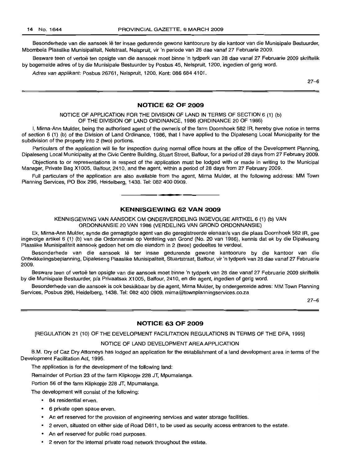Besonderhede van die aansoek lê ter insae gedurende gewone kantoorure by die kantoor van die Munisipale Bestuurder, Mbombela Plaaslike Munisipaliteit, Nelstraat, Nelspruit, vir 'n periode van 28 dae vanaf 27 Februarie 2009.

Besware teen of vertoë ten opsigte van die aansoek moet binne 'n tydperk van 28 dae vanaf 27 Februarie 2009 skriftelik by bogemelde adres of by die Munisipale Bestuurder by Posbus 45, Nelspruit, 1200, ingedien of gerig word.

Adres van applikant: Posbus 26761, Nelspruit, 1200. Kont: 086 684 4101.

27-6

## **NOTICE 62 OF 2009**

NOTICE OF APPLICATION FOR THE DIVISION OF LAND IN TERMS OF SECTION 6 (1) (b) OF THE DIVISION OF LAND ORDINANCE, 1986 (ORDINANCE 20 OF 1986)

I, Mirna-Ann Mulder, being the authorised agent of the owner/s of the farm Doornhoek 582 IR, hereby give notice in terms of section 6 (1) (b) of the Division of Land Ordinance, 1986, that I have applied to the Dipaleseng Local Municipality for the subdivision of the property into 2 (two) portions.

Particulars of the application will lie for inspection during normal office hours at the office of the Development Planning, Dipaleseng Local Municipality at the Civic Centre Building, Stuart Street, Balfour, for a period of 28 days from 27 February 2009.

Objections to or representations in respect of the application must be lodged with or made in writing to the Municipal Manager, Private Bag X1005, Balfour, 2410, and the agent, within a period of 28 days from 27 February 2009.

Full particulars of the application are also available from the agent, Mirna Mulder, at the following address: MM Town Planning Services, PO Box 296, Heidelberg, 1438. Tel: 082 400 0909.

**• •**

## **KENNISGEWING 62 VAN 2009**

KENNISGEWING VAN AANSOEK OM ONDERVERDELING INGEVOLGE ARTIKEL 6 (1) (b) VAN ORDONNANSIE 20 VAN 1986 (VERDELING VAN GROND ORDONNANSIE)

Ek, Mirna-Ann Mulder, synde die gemagtigde agent van die geregistreerde eienaar/s van die plaas Doornhoek 582 IR, gee ingevolge artikel 6 (1) (b) van die Ordonnansie op Verdeling van Grond (No. 20 van 1986), kennis dat ek by die Dipaleseng Plaaslike Munisipaliteit aansoek gedoen het om die eiendom in 2 (twee) gedeeltes te verdeel.

Besonderhede van die aansoek lê ter insae gedurende gewone kantoorure by die kantoor van die Ontwikkelingsbeplanning, Dipaleseng Plaaslike Munisipaliteit, Stuartstraat, Balfour, vir 'n tydperk van 28 dae vanaf 27 Februarie 2009.

Besware teen of vertoë ten opsigte van die aansoek moet binne 'n tydperk van 28 dae vanaf 27 Februarie 2009 skriftelik by die Munisipale Bestuurder, p/a Privaatsak X1005, Balfour, 2410, en die agent, ingedien of gerig word.

Besonderhede van die aansoek is ook beskikbaar by die agent, Mirna Mulder, by ondergemelde adres: MM Town Planning Services, Posbus 296, Heidelberg, 1438. Tel: 082 400 0909. mirna@townplanningservices.co.za

27-6

#### **NOTICE 63 OF 2009**

[REGULATION 21 (10) OF THE DEVELOPMENT FACILITATION REGULATIONS IN TERMS OF THE oFA, 1995]

#### NOTICE OF LAND DEVELOPMENT AREA APPLICATION

B.M. Dry of Caz Dry Attorneys has lodged an application for the establishment of a land development area in terms of the Development Facilitation Act, 1995.

The application is for the development of the following land:

Remainder of Portion 23 of the farm Klipkopje 228 JT, Mpumalanga.

Portion 56 of the farm Klipkopje 228 JT, Mpumalanga.

The development will consist of the following:

- 84 residential erven.
- 6 private open space erven.
- An erf reserved for the provision of engineering services and water storage facilities.
- 2 erven, situated on either side of Road 0811, to be used as security access entrances to the estate.
- An erf reserved for public road purposes.
- 2 erven for the internal private road network throughout the estate.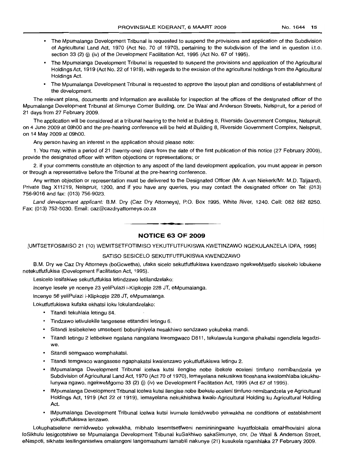- The Mpumalanga Development Tribunal is requested to suspend the provisions and application of the Subdivision of Agricultural Land Act, 1970 (Act No. 70 of 1970), pertaining to the subdivision of the land in question i.t.o. section 33 (2) (i) (iv) of the Development Facilitation Act, 1995 (Act No. 67 of 1995).
- The Mpumalanga Development Tribunal is requested to suspend the provisions and application of the Agricultural Holdings Act, 1919 (Act No. 22 of 1919), with regards to the excision of the agricultural holdings from the Agricultural Holdings Act.
- The Mpumalanga Development Tribunal is requested to approve the layout plan and conditions of establishment of the development.

The relevant plans, documents and information are available for inspection at the offices of the designated officer of the Mpumalanga Development Tribunal at Simunye Corner Building, cnr. De Waal and Anderson Streets, Nelspruit, for a period of 21 days from 27 February 2009.

The application will be considered at a tribunal hearing to the held at Building 8, Riverside Government Complex, Nelspruit, on 4 June 2009 at 09hOO and the pre-hearing conference will be held at Building 8, Riverside Government Complex, Nelspruit, on 14 May 2009 at 09hOO.

Any person having an interest in the application should please note:

1. You may, within a period of 21 (twenty-one) days from the date of the first publication of this notice (27 February 2009), provide the designated officer with written objections or representations; or

2. if your comments constitute an objection to any aspect of the land development application, you must appear in person or through a representative before the Tribunal at the pre-hearing conference.

Any written objection or representation must be delivered to the Designated Officer (Mr. A van Niekerk/Mr. M.D. Taljaard), Private Bag X11219, Nelspruit, 1200, and if you have any queries, you may contact the designated officer on Tel: (013) 756-9016 and fax: (013) 756-9023.

Land developmant applicant: B.M. Dry (Caz Dry Attorneys), P.O. Box 1995, White River, 1240. Cell: 082 882 8250. Fax: (013) 752-5030. Email: caz@cazdryattorneys.co.za

**NOTICE 63 OF 2009**

**•**

[UMTSETFOSIMISO 21 (10) WEMITSETFOTIMISO YEKUTFUTFUKISWA KWETINZAWO NGEKULANZELA IDFA, 1995]

#### SATISO SESICELO SEKUTFUTFUKISWA KWENDZAWO

8.M. Dry we Caz Dry Attorneys (boGcwetha), ufaka sicelo sekutfutfukiswa kwendzawo ngekweMtsetfo sisekelo lobukene netekutfutfukisa (Development Facilitation Act, 1995).

Lesicelo lesifakiwe sekutfutfukisa letindzawo letilandzelako:

Incenye lesele ye ncenye 23 yeliPulazi i-Klipkopje 228 JT, eMpumalanga.

Incenye 56 yeliPulazi i-Klipkopje 228 JT, eMpumalanga.

Lokutfutfukiswa kufaka ekhatsi loku lokulandzelako:

- Titandi tekuhlala letingu 84.
- Tindzawo letivulekile tangesese etitandini letingu 6.
- Sitandi lesibekelwe umsebenti bobunjiniyela nesakhiwo sendzawo yokubeka mandi.
- Titandi letingu 2 letibekwe ngalana nangalana kwemgwaco D811, tekulawula kungena phakatsi ngendlela legadziwe.
- Sitandi semgwaco wemphakatsi.
- <sup>o</sup> Titandi temgwaco wangasese ngaphakatsi kwalenzawo yokutfutfukiswa letingu 2.
- IMpumalanga Development Tribunal icelwa kutsi ilengise nobe ibekele eceleni timfuno nemibandzela ye Subdivision of Agricultural Land Act, 1970 (Act 70 of 1970), lemayelana nekusikwa ticeshana kwalomhlaba lokukhulunywa ngawo, ngekweMgomo 33 (2) (j) (iv) we Development Facilitation Act, 1995 (Act 67 of 1995).
- IMpumalanga Development Tribunal icelwa kutsi ilengise nobe ibekele eceleni timfuno nemibandzela ye Agricultural Holdings Act, 1919 (Act 22 of 1919), lemayelana nekukhishwa kwale-Agricultural Holding ku Agricultural Holding Act.
- IMpumalanga Development Tribunal icelwa kutsi ivumele lemidvwebo yekwakha ne conditions of establishment yokutfutfukiswa lenzawo.

Lokuphatselene nemidvwebo yekwakha, mibhalo lesemtsetfweni nemininingwane kuyatfolokala emaHhovisini alona 10Sikhuiu lesigcotshiwe se Mpumalanga Development Tribunal kuSakhiwo sakaSimunye, cnr, De Waal & Anderson Street, eNaspoti, sikhatsi lesilinganiselwa emalangeni langemashumi lamabili nakunye (21) kusukela ngamhlaka 27 February 2009.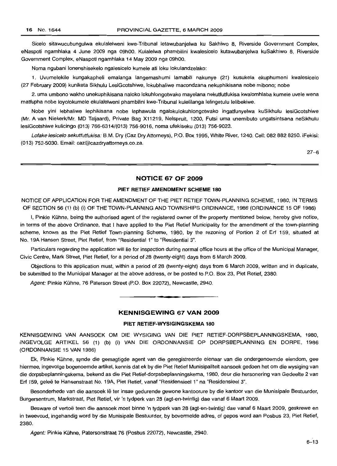Sicelo sitawucubungulwa ekulalelweni kwe-Tribunal letawubanjelwa ku Sakhiwo 8, Riverside Government Complex, eNaspoti ngamhlaka 4 June 2009 nga 09hOO. Kulalelwa phambilini kwalesicelo kutawubanjelwa kuSakhiwo 8, Riverside Government Complex, eNaspoti ngamhlaka 14 May 2009 nga 09hOO.

Noma ngubani lonenshisekelo ngalesicelo kumele ati loku lokulandzelako:

1. Uvumelekile kungakapheli emalanga langemashumi lamabili nakunye (21) kusukela ekuphumeni kwalesicelo (27 February 2009) kuniketa Sikhulu LesiGcotshiwe, lokubhaliwe macondzana nekuphikisana nobe mibono; nobe

2. uma umbono wakho unekuphikisana naloko lokuhlongotwako mayelana nekutfutfukisa kwalomhlaba kumele uvele wena matfupha nobe loyolokumele ekulalelweni phambilini kwe-Tribunal kulelilanga lelingetulu lelibekiwe.

Nobe yini lebhaliwe lephikisana nobe lephawula ngalokulokuhlongotwako ingatfunyelwa kuSikhulu lesiGcotshiwe (Mr. A van NiekerkjMr. MD Taljaard), Private Bag X11219, Nelspruit, 1200, Futsi uma unemibuto ungatsintsana neSikhulu lesiGcotshiwe kulicingo (013) 766-6314/(013) 756-9016, noma ufekiseku (013) 756-9023.

Lofake lesicelo sekutfutfukisa: B.M. Dry (Caz Dry Attorneys), P.O. Box 1995, White River, 1240. Cell: 082 882 8250. iFekisi: (013) 752-5030. Email: caz@cazdryattorneys.co.za.

27-6

## **NOTICE 67 OF 2009**

#### **PIET RETIEF AMENDMENT SCHEME 180**

NOTICE OF APPLICATION FOR THE AMENDMENT OF THE PIET RETIEF TOWN-PLANNING SCHEME, 1980, IN TERMS OF SECTION 56 (1) (b) (i) OF THE TOWN-PLANNING AND TOWNSHIPS ORDINANCE, 1986 (ORDINANCE 15 OF 1986)

I, Pinkie Kuhne, being the authorised agent of the registered owner of the property mentioned below, hereby give notice, in terms of the above Ordinance, that I have applied to the Piet Retief Municipality for the amendment of the town-planning scheme, known as the Piet Retief Town-planning Scheme, 1980, by the rezoning of Portion 2 of Erf 159, situated at No. 19A Hansen Street, Piet Retief, from "Residential 1" to "Residential 3".

Particulars regarding the application will lie for inspection during normal office hours at the office of the Municipal Manager, Civic Centre, Mark Street, Piet Retief, for a period of 28 (twenty-eight) days from 6 March 2009.

Objections to this application must, within a period of 28 (twenty-eight) days from 6 March 2009, written and in duplicate, be submitted to the Municipal Manager at the above address, or be posted to P.O. Box 23, Piet Retief, 2380.

Agent: Pinkie Kühne, 76 Paterson Street (P.O. Box 22072), Newcastle, 2940.

## **KENNISGEWING 67 VAN 2009**

**.-**

## **PIET RETIEF-WYSIGINGSKEMA 180**

KENNISGEWING VAN AANSOEK OM DIE WYSIGING VAN DIE PIET RETIEF-DORPSBEPLANNINGSKEMA, 1980, INGEVOLGE ARTIKEL 56 (1) (b) (i) VAN DIE ORDONNANSIE OP DORPSBEPLANNING EN DORPE, 1986 (ORDONNANSIE 15 VAN 1986)

Ek, Pinkie Kühne, synde die gemagtigde agent van die geregistreerde eienaar van die ondergenoemde eiendom, gee hiermee, ingevolge bogenoemde artikel, kennis dat ek by die Piet Retief Munisipaliteit aansoek gedoen het om die wysiging van die dorpsbeplanningskema, bekend as die Piet Retief-dorpsbeplanningskema, 1980, deur die hersonering van Gedeelte 2 van Erf 159, gelee te Hansenstraat No. 19A, Piet Retief, vanaf "Residensieel 1" na "Residensieel 3".

Besonderhede van die aansoek Ie ter insae gedurende gewone kantoorure by die kantoor van die Munisipale Bestuurder, Burgersentrum, Markstraat, Piet Retief, vir 'n tydperk van 28 (agt-en-twintig) dae vanaf 6 Maart 2009.

Besware of vertoë teen die aansoek moet binne 'n tydperk van 28 (agt-en-twintig) dae vanaf 6 Maart 2009, geskrewe en in tweevoud, ingehandig word by die Munisipale Bestuurder, by bovermelde adres, of gepos word aan Posbus 23, Piet Retief, 2380.

Agent: Pinkie Kühne, Patersonstraat 76 (Posbus 22072), Newcastle, 2940.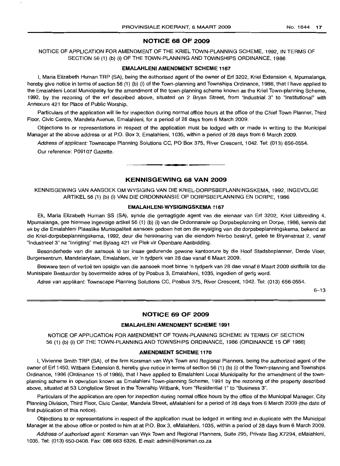## **NOTICE 68 OF 2009**

NOTICE OF APPLICATION FOR AMENDMENT OF THE KRIEL TOWN-PLANNING SCHEME, 1992, IN TERMS OF SECTION 56 (1) (b) (i) OF THE TOWN-PLANNING AND TOWNSHIPS ORDINANCE, 1986

#### **EMALAHLENI AMENDMENT SCHEME 1167**

I, Maria Elizabeth Human TRP (SA), being the authorised agent of the owner of Erf 3202, Kriel Extension 4, Mpumalanga, hereby give notice in terms of section 56 (1) (b) (i) of the Town-planning and Townships Ordinance, 1986, that I have applied to the Emalahleni Local Municipality for the amendment of the town-planning scheme known as the Kriel Town-planning Scheme, 1992, by the rezoning of the ert described above, situated on 2 Bryan Street, from "Industrial 3" to "Institutional" with Annexure 421 for Place of Public Worship.

Particulars of the application will lie for inspection during normal office hours at the office of the Chief Town Planner, Third Floor, Civic Centre, Mandela Avenue, Emalahleni, for a period of 28 days from 6 March 2009.

Objections to or representations in respect of the application must be lodged with or made in writing to the Municipal Manager at the above address or at P.O. Box 3, Emalahleni, 1035, within a period of 28 days from 6 March 2009.

Address of applicant: Townscape Planning Solutions CC, PO Box 375, River Crescent, 1042. Tel: (013) 656-0554.

**.-**

Our reference: P09107 Gazette.

## **KENNISGEWING 68 VAN 2009**

KENNISGEWING VAN MNSOEK OM WYSIGING VAN DIE KRIEL-DORPSBEPLANNINGSKEMA, 1992, INGEVOLGE ARTIKEL 56 (1) (b) (i) VAN DIE ORDONNANSIE OP DORPSBEPLANNING EN DORPE, 1986

#### **EMALAHLENI-WYSIGINGSKEMA 1167**

Ek, Maria Elizabeth Human SS (SA), synde die gemagtigde agent van die eienaar van Ert 3202, Kriel Uitbreiding 4, Mpumalanga, gee hiermee ingevolge artikel 56 (1) (b) (i) van die Ordonnansie op Dorpsbeplanning en Dorpe, 1986, kennis dat ek by die Emalahleni Plaaslike Munisipaliteit aansoek gedoen het om die wysiging van die dorpsbeplanningskema, bekend as die Kriel-dorpsbeplanningskema, 1992, deur die hersonering van die eiendom hierbo beskryf, gelee te Bryanstraat 2, vanaf "Industrieel 3" na "Inrigting" met Bylaag 421 vir Plek vir Openbare Aanbidding.

Besonderhede van die aansoek lê ter insae gedurende gewone kantoorure by die Hoof Stadsbeplanner, Derde Vloer, Burgersentrum, Mandelarylaan, Emalahleni, vir 'n tydperk van 28 dae vanaf 6 Maart 2009.

Besware teen of vertoë ten opsigte van die aansoek moet binne 'n tydperk van 28 dae vanaf 6 Maart 2009 skriftelik tot die Munisipale Bestuurder by bovermelde adres of by Posbus 3, Emalahleni, 1035, ingedien of gerig word.

Adres van applikant: Townscape Planning Solutions CC, Posbus 375, River Crescent, 1042. Tel: (013) 656-0554.

 $6 - 13$ 

## **NOTICE 69 OF 2009**

#### **EMALAHLENI AMENDMENT SCHEME 1991**

NOTICE OF APPLICATION FOR AMENDMENT OF TOWN-PLANNING SCHEME IN TERMS OF SECTION 56 (1) (b) (i) OF THE TOWN-PLANNING AND TOWNSHIPS ORDINANCE, 1986 (ORDINANCE 15 OF 1986)

#### **AMENDMENT SCHEME 1170**

I, Vivienne Smith TRP (SA), of the firm Korsman van Wyk Town and Regional Planners, being the authorized agent of the owner of Ert 1450, Witbank Extension 8, hereby give notice in terms of section 56 (1) (b) (i) of the Town-planning and Townships Ordinance, 1986 (Ordinance 15 of 1986), that I have applied to Emalahleni Local Municipality for the amendment of the townplanning scheme in operation known as Emalahleni Town-planning Scheme, 1991 by the rezoning of the property described above, situated at 53 Longfellow Street in the Township Witbank, from "Residential 1" to "Business 3".

Particulars of the application are open for inspection during normal office hours by the office of the Municipal Manager, City Planning Division, Third Floor, Civic Center, Mandela Street, eMalahleni for a period of 28 days from 6 March 2009 (the date of first publication of this notice).

Objections to or representations in respect of the application must be lodged in writing and in duplicate with the Municipal Manager at the above office or posted to him at at P.O. Box 3, eMalahleni, 1035, within a period of 28 days from 6 March 2009.

Address of authorised agent: Korsman van Wyk Town and Regional Planners, Suite 295, Private Bag X7294, eMalahleni, 1035. Tel: (013) 650-0408. Fax: 086 663 6326. E-mail: admin@korsman.co.za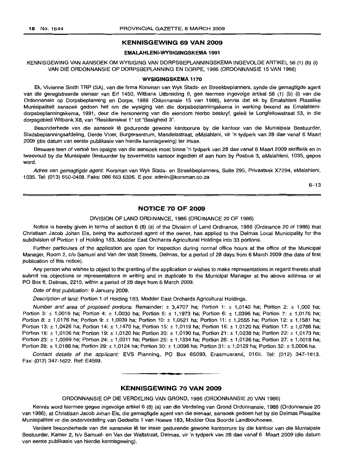## **KENNISGEWING 69 VAN 2009**

#### **EMALAHLENI-WYSIGINGSKEMA 1991**

#### KENNISGEWING VAN AANSOEK OM WYSIGING VAN DORPSBEPLANNINGSKEMA INGEVOLGE ARTIKEL 56 (1) (b) (i) VAN DIE ORDONNANSIE OP DORPSBEPLANNING EN DORPE, 1986 (ORDONNANSIE 15 VAN 1986)

#### **WYSIGINGSKEMA 1170**

Ek, Vivienne Smith TRP (SA), van die firma Korsman van Wyk Stads- en Streekbeplanners, synde die gemagtigde agent van die geregistreerde eienaar van Erf 1450, Witbank Uitbreiding 8, gee hiermee ingevolge artikel 56 (1) (b) (i) van die Ordonnansie op Dorpsbeplanning en Dorpe, 1986 (Odonnansie 15 van 1986), kennis dat ek by Emalahleni Plaaslike Munisipaliteit aansoek gedoen het om die wysiging van die dorpsbeplanningskema in werking bekend as Emalahlenidorpsbeplanningskema, 1991, deur die hersonering van die eiendom hierbo beskryf, gelee te Longfellowstraat 53, in die dorpsgebied Witbank X8, van "Residensieel 1" tot "Besigheid 3".

Besonderhede van die aansoek lê gedurende gewone kantoorure by die kantoor van die Munisipale Bestuurder, Stadsbeplanningsafdeling, Derde Vloer, Burgersentrum, Mandelastraat, eMalahleni, vir 'n tydperk van 28 dae vanaf 6 Maart 2009 (die datum van eerste publikasie van hierdie kennisgewing) ter insae.

Besware teen of vertoë ten opsigte van die aansoek moet binne 'n tydperk van 28 dae vanaf 6 Maart 2009 skriftelik en in tweevoud by die Munisipale Bestuurder by bovermelde kantoor ingedien of aan hom by Posbus 3, eMalahleni, 1035, gepos word.

Adres van gemagtigde agent: Korsman van Wyk Stads- en Streekbeplanners, Suite 295, Privaatsak X7294, eMalahleni, 1035. Tel: (013) 650-0408. Faks: 086 663 6326. E-pos: admin@korsman.co.za

 $6 - 13$ 

## **NOTICE 70 OF 2009**

#### DIVISION OF LAND ORDINANCE, 1986 (ORDINANCE 20 OF 1986)

Notice is hereby given in terms of section 6 (8) (a) of the Division of Land Ordinance, 1986 (Ordinance 20 of 1986) that Christiaan Jacob Johan Els, being the authorized agent of the owner, has applied to the Delmas Local Municipality for the subdivision of Portion 1 of Holding 183, Modder East Orchards Agricultural Holdings into 33 portions.

Further particulars of the application are open for inspection during normal office hours at the office of the Municipal Manager, Room 2, c/o Samuel and Van der Walt Streets, Delmas, for a period of 28 days from 6 March 2009 (the date of first publication of this notice).

Any person who wishes to object to the granting of the application or wishes to make representations in regard thereto shall submit his objections or representations in writing and in duplicate to the Municipal Manager at the above address or at PO Box 6, Delmas, 2210, within a period of 28 days from 6 March 2009.

Date of first publication: 9 January 2009.

Description of land: Portion 1 of Holding 183, Modder East Orchards Agricultural Holdings.

Number and area of proposed portions: Remainder:  $\pm$  3,4707 ha; Portion 1:  $\pm$  1,0140 ha; Portion 2:  $\pm$  1,000 ha; Portion 3:  $\pm$  1,0016 ha; Portion 4:  $\pm$  1,0030 ha; Portion 5:  $\pm$  1,1973 ha; Portion 6:  $\pm$  1,0396 ha; Portion 7:  $\pm$  1.0176 ha; Portion 8: ± 1,0176 ha; Portion 9: ± 1,0039 ha; Portion 10: ± 1,0521 ha; Portion 11: ± 1,2555 ha; Portion 12: ± 1,1581 ha; Portion 13: ± 1,0426 ha; Portion 14: ± 1,1470 ha; Portion 15: ± 1,0119 ha; Portion 16: ± 1,0120 ha; Portion 17: ± 1,0766 ha; Portion 18: ± 1,0106 ha; Portion 19: ± 1,0120 ha; Portion 20: ± 1,0190 ha; Portion 21: ± 1,0238 ha; Portion 22: ± 1,0173 ha; Portion 23: ± 1,0099 ha; Portion 24: ± 1,0311 ha; Portion 25: ± 1,1334 ha; Portion 26: ± 1,0126 ha; Portion 27: ± 1,0018 ha; Portion 28: ± 1,0166 ha; Portion 29: ± 1,0124 ha; Portion 30: ± 1,0098 ha; Portion 31: ± 1,0129 ha; Portion 32: ± 5,0006 ha.

Contact details of the applicant: EVS Planning, PO Box 65093, Erasmusrand, 0165. Tel: (012) 347-1613. Fax: (012) 347-1622. Ref: E4599. **.-**

#### **KENNISGEWING 70 VAN 2009**

ORDONNANSIE OP DIE VERDELING VAN GROND, 1986 (ORDONNANSIE 20 VAN 1986)

Kennis word hiermee gegee ingevolge artikel 6 (8) (a) van die Verdeling van Grond Ordonnansie, 1986 (Ordonnansie 20 van 1986), at Christiaan Jacob Johan Els, die gemagtigde agent van die eienaar, aansoek qedoen het by die Delmas Plaaslike Munisipaliteit vir die onderverdeling van Gedeelte 1 van Hoewe 183, Modder Oos Boorde Landbouhoewe.

Verdere besonderhede van die aansoeke lê ter insae gedurende gewone kantoorure by die kantoor van die Munisipale Bestuurder, Kamer 2, h/v Samuel- en Van der Waltstraat, Delmas, vir 'n tydperk van 28 dae vanaf 6 Maart 2009 (die datum van eerste publikasie van hierdie kennisgewing).